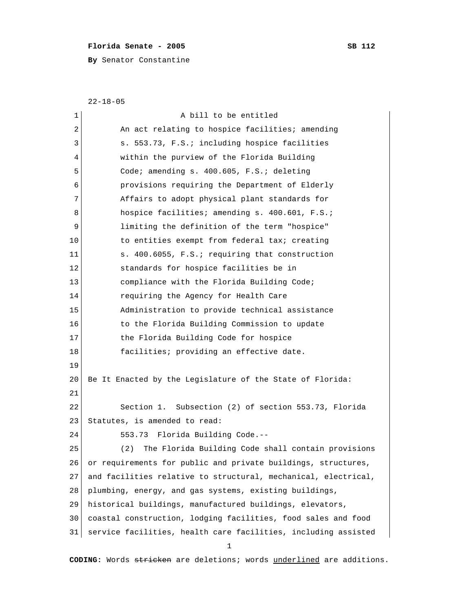## **Florida Senate - 2005** SB 112

**By** Senator Constantine

22-18-05

| 1  | A bill to be entitled                                          |
|----|----------------------------------------------------------------|
| 2  | An act relating to hospice facilities; amending                |
| 3  | s. 553.73, F.S.; including hospice facilities                  |
| 4  | within the purview of the Florida Building                     |
| 5  | Code; amending s. 400.605, F.S.; deleting                      |
| 6  | provisions requiring the Department of Elderly                 |
| 7  | Affairs to adopt physical plant standards for                  |
| 8  | hospice facilities; amending s. 400.601, F.S.;                 |
| 9  | limiting the definition of the term "hospice"                  |
| 10 | to entities exempt from federal tax; creating                  |
| 11 | s. 400.6055, F.S.; requiring that construction                 |
| 12 | standards for hospice facilities be in                         |
| 13 | compliance with the Florida Building Code;                     |
| 14 | requiring the Agency for Health Care                           |
| 15 | Administration to provide technical assistance                 |
| 16 | to the Florida Building Commission to update                   |
| 17 | the Florida Building Code for hospice                          |
| 18 | facilities; providing an effective date.                       |
| 19 |                                                                |
| 20 | Be It Enacted by the Legislature of the State of Florida:      |
| 21 |                                                                |
| 22 | Section 1. Subsection (2) of section 553.73, Florida           |
| 23 | Statutes, is amended to read:                                  |
| 24 | 553.73 Florida Building Code.--                                |
| 25 | The Florida Building Code shall contain provisions<br>(2)      |
| 26 | or requirements for public and private buildings, structures,  |
| 27 | and facilities relative to structural, mechanical, electrical, |
| 28 | plumbing, energy, and gas systems, existing buildings,         |
| 29 | historical buildings, manufactured buildings, elevators,       |
| 30 | coastal construction, lodging facilities, food sales and food  |
| 31 | service facilities, health care facilities, including assisted |
|    | 1                                                              |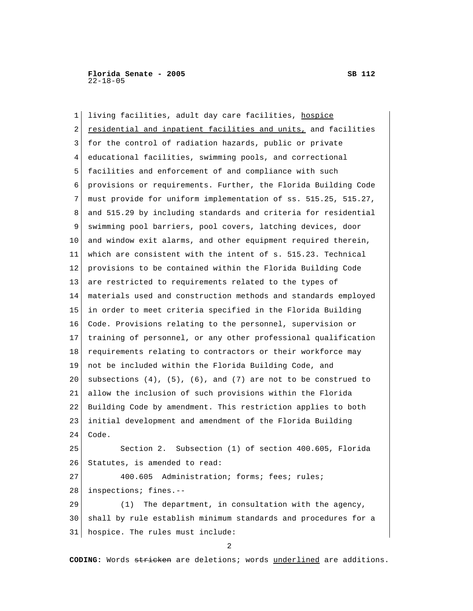1 living facilities, adult day care facilities, hospice 2 residential and inpatient facilities and units, and facilities 3 for the control of radiation hazards, public or private 4 educational facilities, swimming pools, and correctional 5 facilities and enforcement of and compliance with such 6 provisions or requirements. Further, the Florida Building Code 7 must provide for uniform implementation of ss. 515.25, 515.27, 8 and 515.29 by including standards and criteria for residential 9 swimming pool barriers, pool covers, latching devices, door 10 and window exit alarms, and other equipment required therein, 11 which are consistent with the intent of s. 515.23. Technical 12 provisions to be contained within the Florida Building Code 13 are restricted to requirements related to the types of 14 materials used and construction methods and standards employed 15 in order to meet criteria specified in the Florida Building 16 Code. Provisions relating to the personnel, supervision or 17 training of personnel, or any other professional qualification 18 requirements relating to contractors or their workforce may 19 not be included within the Florida Building Code, and 20 subsections  $(4)$ ,  $(5)$ ,  $(6)$ , and  $(7)$  are not to be construed to 21 allow the inclusion of such provisions within the Florida 22 Building Code by amendment. This restriction applies to both 23 initial development and amendment of the Florida Building 24 Code. 25 Section 2. Subsection (1) of section 400.605, Florida 26 Statutes, is amended to read: 27 400.605 Administration; forms; fees; rules; 28 inspections; fines.-- 29 (1) The department, in consultation with the agency, 30 shall by rule establish minimum standards and procedures for a

31 hospice. The rules must include:

2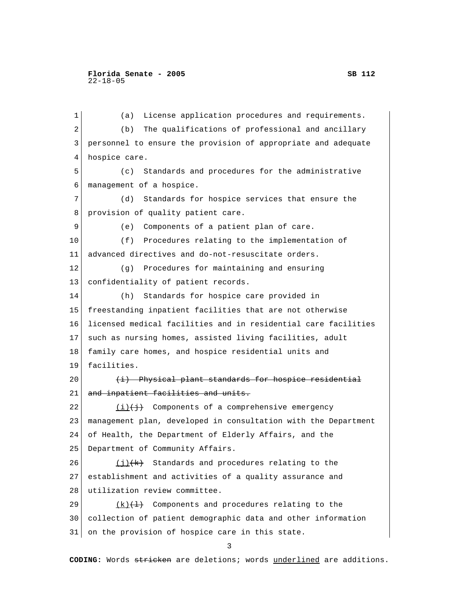1 (a) License application procedures and requirements. 2 (b) The qualifications of professional and ancillary 3 personnel to ensure the provision of appropriate and adequate 4 hospice care. 5 (c) Standards and procedures for the administrative 6 management of a hospice. 7 (d) Standards for hospice services that ensure the 8 provision of quality patient care. 9 (e) Components of a patient plan of care. 10 (f) Procedures relating to the implementation of 11 advanced directives and do-not-resuscitate orders. 12 (g) Procedures for maintaining and ensuring 13 confidentiality of patient records. 14 (h) Standards for hospice care provided in 15 freestanding inpatient facilities that are not otherwise 16 licensed medical facilities and in residential care facilities 17 such as nursing homes, assisted living facilities, adult 18 family care homes, and hospice residential units and 19 facilities.  $20$  (i) Physical plant standards for hospice residential 21 and inpatient facilities and units. 22  $(i)$   $(i)$  Components of a comprehensive emergency 23 management plan, developed in consultation with the Department 24 of Health, the Department of Elderly Affairs, and the 25 Department of Community Affairs. 26  $(i)$   $(k)$  Standards and procedures relating to the 27 establishment and activities of a quality assurance and 28 utilization review committee. 29  $(k)$  (k) Components and procedures relating to the 30 collection of patient demographic data and other information 31 on the provision of hospice care in this state. 3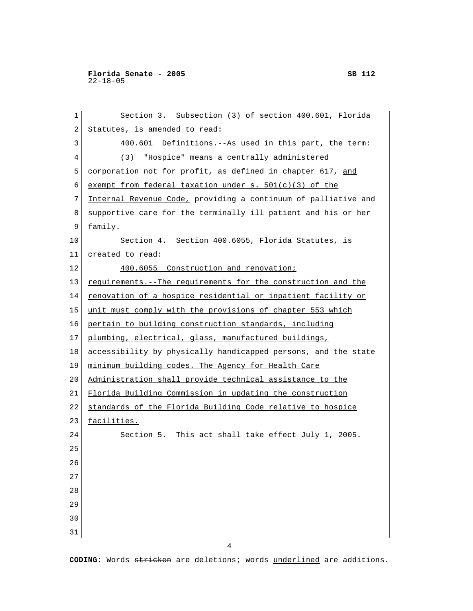**Florida Senate - 2005 SB 112** 22-18-05

1 Section 3. Subsection (3) of section 400.601, Florida 2 Statutes, is amended to read: 3 400.601 Definitions.--As used in this part, the term: 4 (3) "Hospice" means a centrally administered 5 corporation not for profit, as defined in chapter 617, and 6 exempt from federal taxation under s.  $501(c)(3)$  of the 7 Internal Revenue Code, providing a continuum of palliative and 8 supportive care for the terminally ill patient and his or her 9 family. 10 Section 4. Section 400.6055, Florida Statutes, is 11 created to read: 12 400.6055 Construction and renovation; 13 requirements.--The requirements for the construction and the 14 renovation of a hospice residential or inpatient facility or 15 unit must comply with the provisions of chapter 553 which 16 pertain to building construction standards, including 17 plumbing, electrical, glass, manufactured buildings, 18 accessibility by physically handicapped persons, and the state 19 minimum building codes. The Agency for Health Care 20 Administration shall provide technical assistance to the 21 Florida Building Commission in updating the construction 22 standards of the Florida Building Code relative to hospice 23 facilities. 24 Section 5. This act shall take effect July 1, 2005. 25 26 27 28 29 30 31

4